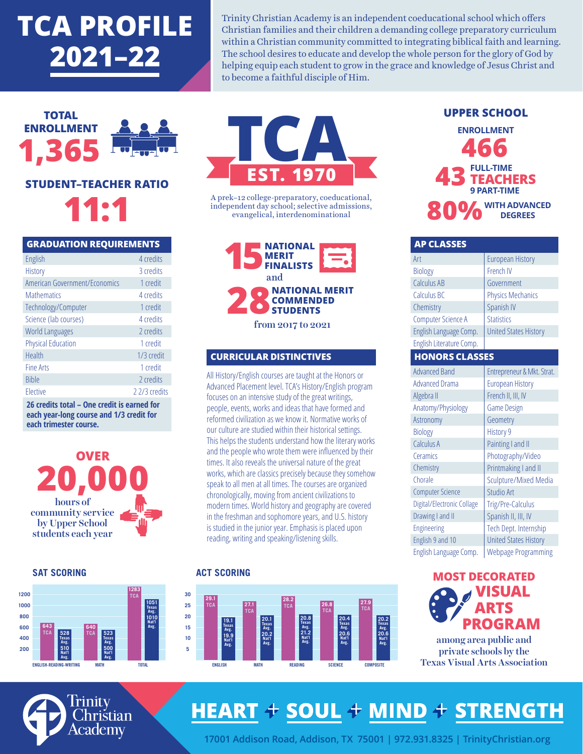# **TCA PROFILE 2021–22**

Trinity Christian Academy is an independent coeducational school which offers Christian families and their children a demanding college preparatory curriculum within a Christian community committed to integrating biblical faith and learning. The school desires to educate and develop the whole person for the glory of God by helping equip each student to grow in the grace and knowledge of Jesus Christ and to become a faithful disciple of Him.



| <b>GRADUATION REQUIREMENTS</b> |              |
|--------------------------------|--------------|
| English                        | 4 credits    |
| <b>History</b>                 | 3 credits    |
| American Government/Economics  | 1 credit     |
| <b>Mathematics</b>             | 4 credits    |
| Technology/Computer            | 1 credit     |
| Science (lab courses)          | 4 credits    |
| <b>World Languages</b>         | 2 credits    |
| <b>Physical Education</b>      | 1 credit     |
| Health                         | 1/3 credit   |
| <b>Fine Arts</b>               | 1 credit     |
| <b>Bible</b>                   | 2 credits    |
| Elective                       | 22/3 credits |
|                                | . .          |

**26 credits total – One credit is earned for each year-long course and 1/3 credit for each trimester course.**



**SAT SCORING**





A prek–12 college-preparatory, coeducational, independent day school; selective admissions, evangelical, interdenominational

**NATIONAL MERIT FINALISTS 28NATIONAL MERIT COMMENDED STUDENTS** from 2017 to 2021 and

### **CURRICULAR DISTINCTIVES**

All History/English courses are taught at the Honors or Advanced Placement level. TCA's History/English program focuses on an intensive study of the great writings, people, events, works and ideas that have formed and reformed civilization as we know it. Normative works of our culture are studied within their historical settings. This helps the students understand how the literary works and the people who wrote them were influenced by their times. It also reveals the universal nature of the great works, which are classics precisely because they somehow speak to all men at all times. The courses are organized chronologically, moving from ancient civilizations to modern times. World history and geography are covered in the freshman and sophomore years, and U.S. history is studied in the junior year. Emphasis is placed upon reading, writing and speaking/listening skills.

#### **ACT SCORING**



### **UPPER SCHOOL 466 ENROLLMENT 80% WITH ADVANCED DEGREES FULL-TIME TEACHERS 9 PART-TIME 43**

| <b>AP CLASSES</b>          |                              |  |
|----------------------------|------------------------------|--|
| Art                        | <b>European History</b>      |  |
| Biology                    | French IV                    |  |
| <b>Calculus AB</b>         | Government                   |  |
| Calculus BC                | <b>Physics Mechanics</b>     |  |
| Chemistry                  | Spanish IV                   |  |
| Computer Science A         | <b>Statistics</b>            |  |
| English Language Comp.     | <b>United States History</b> |  |
| English Literature Comp.   |                              |  |
| <b>HONORS CLASSES</b>      |                              |  |
| <b>Advanced Band</b>       | Entrepreneur & Mkt. Strat.   |  |
| <b>Advanced Drama</b>      | <b>European History</b>      |  |
| Algebra II                 | French II, III, IV           |  |
| Anatomy/Physiology         | <b>Game Design</b>           |  |
| Astronomy                  | Geometry                     |  |
| <b>Biology</b>             | History 9                    |  |
| Calculus A                 | Painting I and II            |  |
| Ceramics                   | Photography/Video            |  |
| Chemistry                  | Printmaking I and II         |  |
| Chorale                    | Sculpture/Mixed Media        |  |
| <b>Computer Science</b>    | Studio Art                   |  |
| Digital/Electronic Collage | Trig/Pre-Calculus            |  |
| Drawing I and II           | Spanish II, III, IV          |  |
| Engineering                | Tech Dept. Internship        |  |
| English 9 and 10           | <b>United States History</b> |  |
| English Language Comp.     | Webpage Programming          |  |



private schools by the Texas Visual Arts Association



# **HEART + SOUL + MIND + STRENGTH**

**17001 Addison Road, Addison, TX 75001 | 972.931.8325 | TrinityChristian.org**